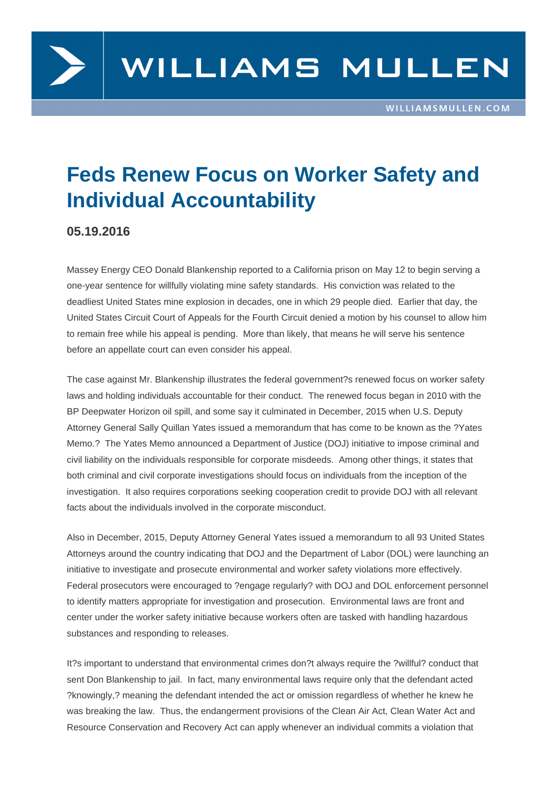

## **Feds Renew Focus on Worker Safety and Individual Accountability**

## **05.19.2016**

Massey Energy CEO Donald Blankenship reported to a California prison on May 12 to begin serving a one-year sentence for willfully violating mine safety standards. His conviction was related to the deadliest United States mine explosion in decades, one in which 29 people died. Earlier that day, the United States Circuit Court of Appeals for the Fourth Circuit denied a motion by his counsel to allow him to remain free while his appeal is pending. More than likely, that means he will serve his sentence before an appellate court can even consider his appeal.

The case against Mr. Blankenship illustrates the federal government?s renewed focus on worker safety laws and holding individuals accountable for their conduct. The renewed focus began in 2010 with the BP Deepwater Horizon oil spill, and some say it culminated in December, 2015 when U.S. Deputy Attorney General Sally Quillan Yates issued a memorandum that has come to be known as the ?Yates Memo.? The Yates Memo announced a Department of Justice (DOJ) initiative to impose criminal and civil liability on the individuals responsible for corporate misdeeds. Among other things, it states that both criminal and civil corporate investigations should focus on individuals from the inception of the investigation. It also requires corporations seeking cooperation credit to provide DOJ with all relevant facts about the individuals involved in the corporate misconduct.

Also in December, 2015, Deputy Attorney General Yates issued a memorandum to all 93 United States Attorneys around the country indicating that DOJ and the Department of Labor (DOL) were launching an initiative to investigate and prosecute environmental and worker safety violations more effectively. Federal prosecutors were encouraged to ?engage regularly? with DOJ and DOL enforcement personnel to identify matters appropriate for investigation and prosecution. Environmental laws are front and center under the worker safety initiative because workers often are tasked with handling hazardous substances and responding to releases.

It?s important to understand that environmental crimes don?t always require the ?willful? conduct that sent Don Blankenship to jail. In fact, many environmental laws require only that the defendant acted ?knowingly,? meaning the defendant intended the act or omission regardless of whether he knew he was breaking the law. Thus, the endangerment provisions of the Clean Air Act, Clean Water Act and Resource Conservation and Recovery Act can apply whenever an individual commits a violation that